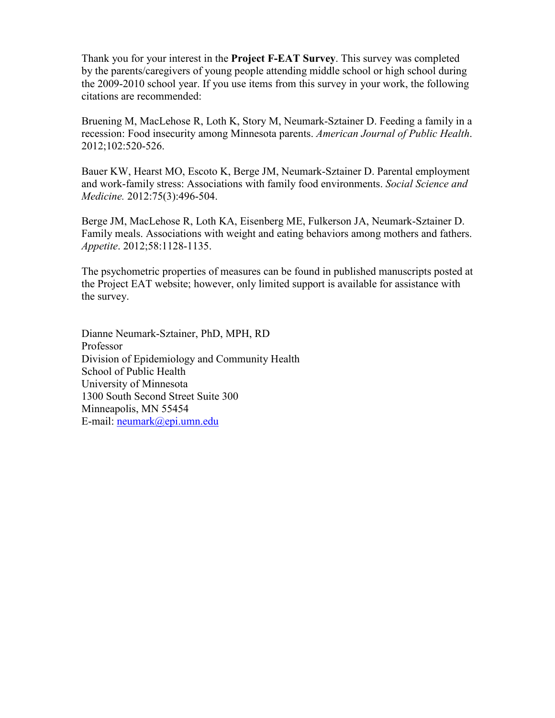Thank you for your interest in the **Project F-EAT Survey**. This survey was completed by the parents/caregivers of young people attending middle school or high school during the 2009-2010 school year. If you use items from this survey in your work, the following citations are recommended:

Bruening M, MacLehose R, Loth K, Story M, Neumark-Sztainer D. Feeding a family in a recession: Food insecurity among Minnesota parents. *American Journal of Public Health*. 2012;102:520-526.

Bauer KW, Hearst MO, Escoto K, Berge JM, Neumark-Sztainer D. Parental employment and work-family stress: Associations with family food environments. *Social Science and Medicine.* 2012:75(3):496-504.

Berge JM, MacLehose R, Loth KA, Eisenberg ME, Fulkerson JA, Neumark-Sztainer D. Family meals. Associations with weight and eating behaviors among mothers and fathers. *Appetite*. 2012;58:1128-1135.

The psychometric properties of measures can be found in published manuscripts posted at the Project EAT website; however, only limited support is available for assistance with the survey.

Dianne Neumark-Sztainer, PhD, MPH, RD Professor Division of Epidemiology and Community Health School of Public Health University of Minnesota 1300 South Second Street Suite 300 Minneapolis, MN 55454 E-mail: [neumark@epi.umn.edu](mailto:neumark@epi.umn.edu)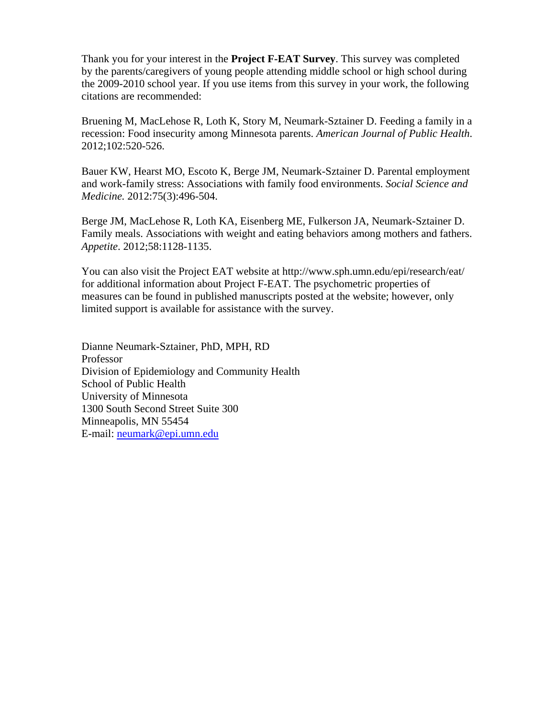Thank you for your interest in the **Project F-EAT Survey**. This survey was completed by the parents/caregivers of young people attending middle school or high school during the 2009-2010 school year. If you use items from this survey in your work, the following citations are recommended:

Bruening M, MacLehose R, Loth K, Story M, Neumark-Sztainer D. Feeding a family in a recession: Food insecurity among Minnesota parents. *American Journal of Public Health*. 2012;102:520-526.

Bauer KW, Hearst MO, Escoto K, Berge JM, Neumark-Sztainer D. Parental employment and work-family stress: Associations with family food environments. *Social Science and Medicine.* 2012:75(3):496-504.

Berge JM, MacLehose R, Loth KA, Eisenberg ME, Fulkerson JA, Neumark-Sztainer D. Family meals. Associations with weight and eating behaviors among mothers and fathers. *Appetite*. 2012;58:1128-1135.

You can also visit the Project EAT website at http://www.sph.umn.edu/epi/research/eat/ for additional information about Project F-EAT. The psychometric properties of measures can be found in published manuscripts posted at the website; however, only limited support is available for assistance with the survey.

Dianne Neumark-Sztainer, PhD, MPH, RD Professor Division of Epidemiology and Community Health School of Public Health University of Minnesota 1300 South Second Street Suite 300 Minneapolis, MN 55454 E-mail: neumark@epi.umn.edu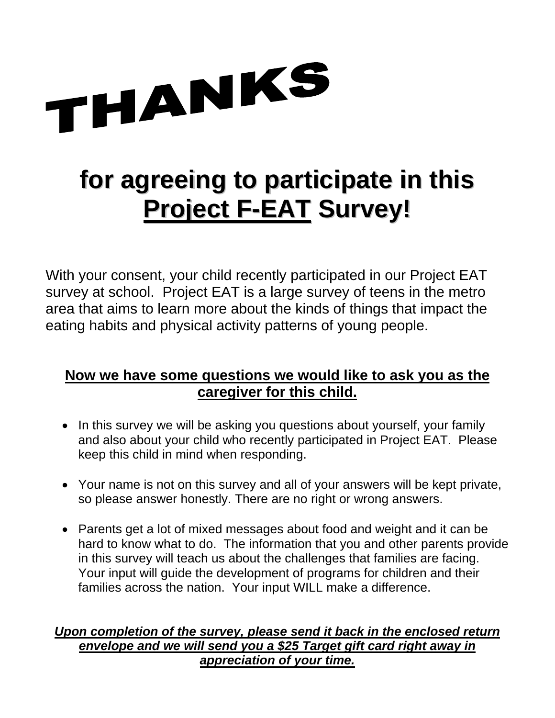

# **for agreeing to participate in this Project F-EAT Survey!**

With your consent, your child recently participated in our Project EAT survey at school. Project EAT is a large survey of teens in the metro area that aims to learn more about the kinds of things that impact the eating habits and physical activity patterns of young people.

# **Now we have some questions we would like to ask you as the caregiver for this child.**

- In this survey we will be asking you questions about yourself, your family and also about your child who recently participated in Project EAT. Please keep this child in mind when responding.
- Your name is not on this survey and all of your answers will be kept private, so please answer honestly. There are no right or wrong answers.
- Parents get a lot of mixed messages about food and weight and it can be hard to know what to do. The information that you and other parents provide in this survey will teach us about the challenges that families are facing. Your input will guide the development of programs for children and their families across the nation. Your input WILL make a difference.

## *Upon completion of the survey, please send it back in the enclosed return envelope and we will send you a \$25 Target gift card right away in appreciation of your time.*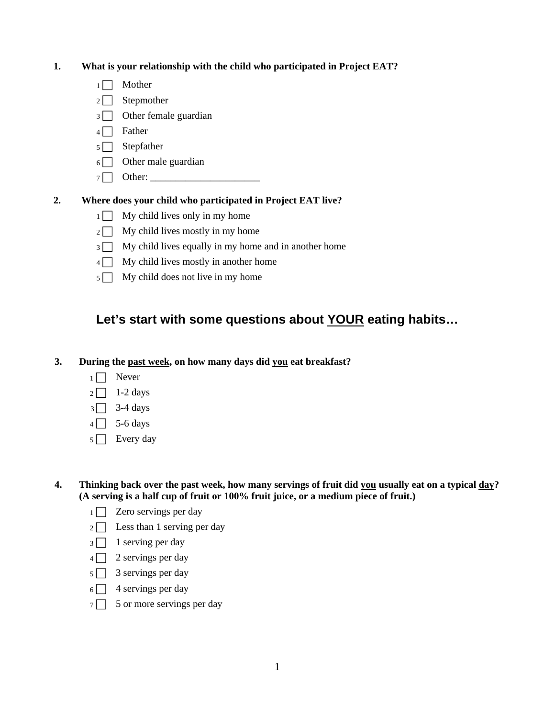#### **1. What is your relationship with the child who participated in Project EAT?**

- $1 \Box$  Mother
- $2 \Box$  Stepmother
- $3 \Box$  Other female guardian
- $4 \Box$  Father
- $5 \Box$  Stepfather
- $6 \Box$  Other male guardian
- $7 \Box$  Other:

#### **2. Where does your child who participated in Project EAT live?**

- $1 \Box$  My child lives only in my home
- $2 \Box$  My child lives mostly in my home
- $3 \Box$  My child lives equally in my home and in another home
- $4 \Box$  My child lives mostly in another home
- $5 \Box$  My child does not live in my home

## **Let's start with some questions about YOUR eating habits…**

#### **3. During the past week, on how many days did you eat breakfast?**

- $1 \Box$  Never
- $2 \square$  1-2 days
- $3\sqrt{3}$  3-4 days
- $4 \Box$  5-6 days
- $5 \Box$  Every day
- **4. Thinking back over the past week, how many servings of fruit did you usually eat on a typical day? (A serving is a half cup of fruit or 100% fruit juice, or a medium piece of fruit.)** 
	- $1 \Box$  Zero servings per day
	- $2 \Box$  Less than 1 serving per day
	- $3 \square$  1 serving per day
	- $4 \Box$  2 servings per day
	- $5 \Box$  3 servings per day
	- $6 \Box$  4 servings per day
	- $7 \Box$  5 or more servings per day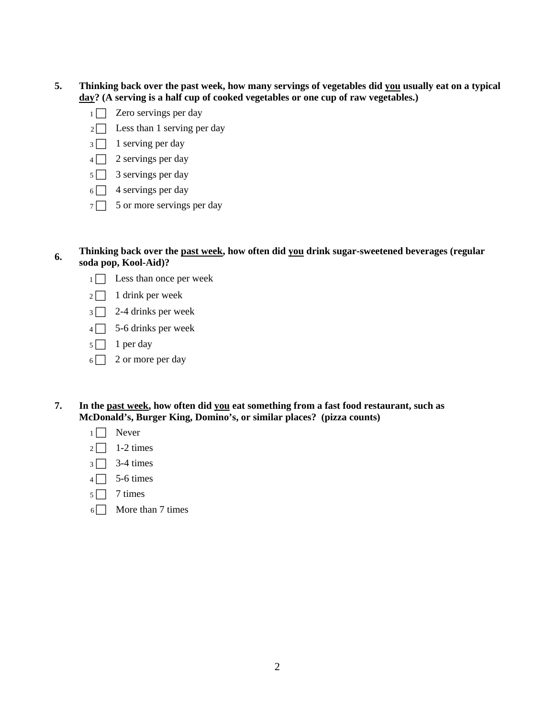- **5. Thinking back over the past week, how many servings of vegetables did you usually eat on a typical day? (A serving is a half cup of cooked vegetables or one cup of raw vegetables.)** 
	- $1 \Box$  Zero servings per day
	- $2 \Box$  Less than 1 serving per day
	- $3 \Box$  1 serving per day
	- $4 \Box$  2 servings per day
	- $5 \Box$  3 servings per day
	- $6 \Box$  4 servings per day
	- $7 \n\begin{array}{|c|c|} \n\hline\n5 \n\end{array}$  5 or more servings per day
- **6. Thinking back over the past week, how often did you drink sugar-sweetened beverages (regular soda pop, Kool-Aid)?** 
	- $1 \Box$  Less than once per week
	- $2 \Box$  1 drink per week
	- $3 \square$  2-4 drinks per week
	- $4 \Box$  5-6 drinks per week
	- $5 \Box$  1 per day
	- $6 \ \ 2$  or more per day
- **7. In the past week, how often did you eat something from a fast food restaurant, such as McDonald's, Burger King, Domino's, or similar places? (pizza counts)** 
	- $1 \Box$  Never
	- $2 \square$  1-2 times
	- $3 \square$  3-4 times
	- $4 \Box$  5-6 times
	- $5 \Box$  7 times
	- $6\Box$  More than 7 times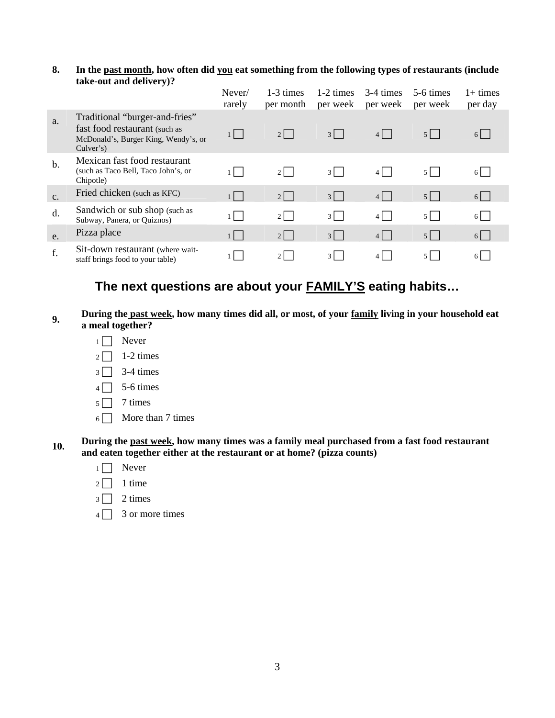#### **8. In the past month, how often did you eat something from the following types of restaurants (include take-out and delivery)?**

|               |                                                                                                                      | Never/<br>rarely    | 1-3 times<br>per month | 1-2 times<br>per week | 3-4 times<br>per week | 5-6 times<br>per week          | $1+$ times<br>per day |
|---------------|----------------------------------------------------------------------------------------------------------------------|---------------------|------------------------|-----------------------|-----------------------|--------------------------------|-----------------------|
| a.            | Traditional "burger-and-fries"<br>fast food restaurant (such as<br>McDonald's, Burger King, Wendy's, or<br>Culver's) | $1 \mid \cdot \mid$ | $2 \mid$               | $3 \mid$              | $4$                   | $5$                            | $6$                   |
| $\mathbf b$ . | Mexican fast food restaurant<br>(such as Taco Bell, Taco John's, or<br>Chipotle)                                     | $1 \mid$            | $2 \mid$               | $3 \mid$              | 4                     | $5$                            | 6                     |
| $C_{\bullet}$ | Fried chicken (such as KFC)                                                                                          | $1 \mid$            | $2$                    | $3 \mid$              | $4$                   | $5$                            | $6$                   |
| d.            | Sandwich or sub shop (such as<br>Subway, Panera, or Quiznos)                                                         |                     | $2 \mid$               | $3 \mid$              | $4$                   | $5$   $\overline{\phantom{0}}$ | $6$                   |
| e.            | Pizza place                                                                                                          | 1                   | $2$                    | $3 \mid$              | 4                     | $5$                            | $6\Box$               |
| f.            | Sit-down restaurant (where wait-<br>staff brings food to your table)                                                 |                     | $2 \mid$               | $3 \mid$              | $4 \mid$              | $5 \mid$                       | 6 L                   |

## **The next questions are about your FAMILY'S eating habits…**

#### **9. During the past week, how many times did all, or most, of your family living in your household eat a meal together?**

- $1 \Box$  Never
- $2 \square$  1-2 times
- $3 \square$  3-4 times
- $4 \Box$  5-6 times
- $5 \Box$  7 times
- $6 \Box$  More than 7 times

#### 10. **During the <u>past week</u>, how many times was a family meal purchased from a fast food restaurant <b>10. and eaten together either at the restaurant or at home? (pizza counts)**

- $1 \Box$  Never
- $2 \square$  1 time
- $3 \square$  2 times
- $4 \Box$  3 or more times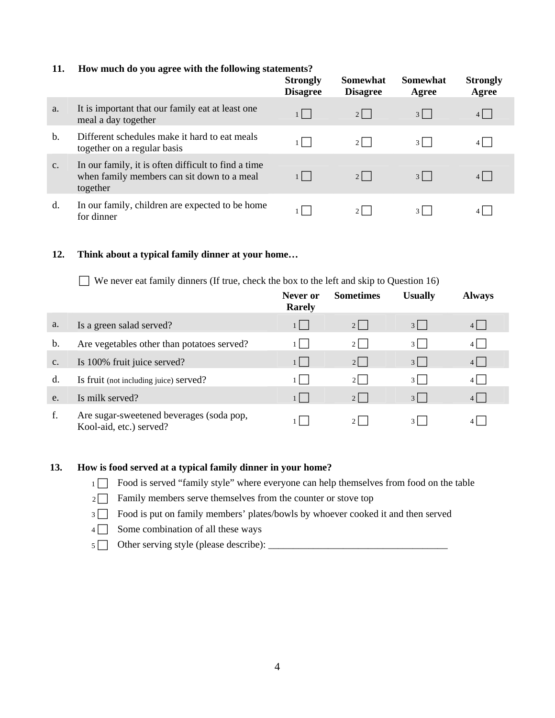#### **11. How much do you agree with the following statements?**

|                |                                                                                                               | <b>Strongly</b><br><b>Disagree</b> | <b>Somewhat</b><br><b>Disagree</b> | <b>Somewhat</b><br>Agree | <b>Strongly</b><br>Agree |
|----------------|---------------------------------------------------------------------------------------------------------------|------------------------------------|------------------------------------|--------------------------|--------------------------|
| a.             | It is important that our family eat at least one<br>meal a day together                                       | $1 \mid$                           | $2 \mid$                           | $3 \mid$                 | $4$                      |
| $\mathbf{b}$ . | Different schedules make it hard to eat meals<br>together on a regular basis                                  |                                    | $2 \mid$                           | 31                       |                          |
| $C_{\bullet}$  | In our family, it is often difficult to find a time<br>when family members can sit down to a meal<br>together | $1 \mid$                           | $2 \mid$                           | $3 \mid$                 | 4                        |
| d.             | In our family, children are expected to be home<br>for dinner                                                 |                                    | 21                                 | $3 \mid$                 |                          |

#### **12. Think about a typical family dinner at your home…**

 $\Box$  We never eat family dinners (If true, check the box to the left and skip to Question 16)

|               |                                                                     | Never or<br><b>Rarely</b> | <b>Sometimes</b> | <b>Usually</b> | <b>Always</b> |  |
|---------------|---------------------------------------------------------------------|---------------------------|------------------|----------------|---------------|--|
| a.            | Is a green salad served?                                            |                           | $2 \mid$         | $3 \mid$       |               |  |
| b.            | Are vegetables other than potatoes served?                          |                           | $2 \mid$         | $3 \mid$       | $4 \mid$      |  |
| $C_{\bullet}$ | Is 100% fruit juice served?                                         | $1 \mid$                  | $2 \mid$         | $3 \mid$       | $4$           |  |
| d.            | Is fruit (not including juice) served?                              |                           | 21               | $3 \mid$       | 4 L           |  |
| e.            | Is milk served?                                                     | 4 7                       | $2 \mid$         | $3 \mid$       |               |  |
| f.            | Are sugar-sweetened beverages (soda pop,<br>Kool-aid, etc.) served? |                           |                  | $3 \mid$       |               |  |

#### **13. How is food served at a typical family dinner in your home?**

- 1 Food is served "family style" where everyone can help themselves from food on the table
- $2 \Box$  Family members serve themselves from the counter or stove top
- $3 \Box$  Food is put on family members' plates/bowls by whoever cooked it and then served
- $4 \Box$  Some combination of all these ways
- <sup>5</sup> F Other serving style (please describe): \_\_\_\_\_\_\_\_\_\_\_\_\_\_\_\_\_\_\_\_\_\_\_\_\_\_\_\_\_\_\_\_\_\_\_\_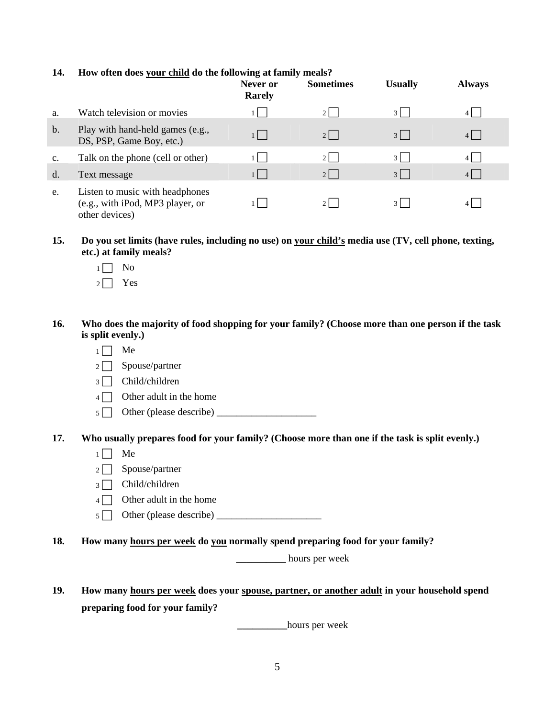#### **14. How often does your child do the following at family meals?**

|                |                                                                                       | Never or<br><b>Rarely</b> | <b>Sometimes</b> | <b>Usually</b> | <b>Always</b> |
|----------------|---------------------------------------------------------------------------------------|---------------------------|------------------|----------------|---------------|
| a.             | Watch television or movies                                                            |                           | 21               | $\frac{3}{ }$  | 4 I           |
| $\mathbf b$ .  | Play with hand-held games (e.g.,<br>DS, PSP, Game Boy, etc.)                          | $1 \mid$                  | $2 \mid$         | $3$            |               |
| $\mathbf{C}$ . | Talk on the phone (cell or other)                                                     |                           | $2 \mid$         | $3 \mid$       | 4 L           |
| d.             | Text message                                                                          | 1 L                       | $2 \mid$         | $3 \mid$       | 4 L           |
| e.             | Listen to music with headphones<br>(e.g., with iPod, MP3 player, or<br>other devices) |                           | $2 \mid$         | $3 \mid$       |               |

**15. Do you set limits (have rules, including no use) on your child's media use (TV, cell phone, texting, etc.) at family meals?** 

- $1 \Box$  No
- $2 \Box$  Yes

#### **16. Who does the majority of food shopping for your family? (Choose more than one person if the task is split evenly.)**

- $1 \Box$  Me
- $2 \Box$  Spouse/partner
- $3 \Box$  Child/children
- $4 \Box$  Other adult in the home
- <sup>5</sup> F Other (please describe) \_\_\_\_\_\_\_\_\_\_\_\_\_\_\_\_\_\_\_\_

**17. Who usually prepares food for your family? (Choose more than one if the task is split evenly.)** 

- $1 \Box$  Me
- $2 \Box$  Spouse/partner
- $3 \Box$  Child/children
- $4 \Box$  Other adult in the home
- $5 \Box$  Other (please describe)  $\Box$
- **18. How many hours per week do you normally spend preparing food for your family?**

**\_\_\_\_\_\_\_\_\_\_** hours per week

**19. How many hours per week does your spouse, partner, or another adult in your household spend preparing food for your family?** 

**\_\_\_\_\_\_\_\_\_\_**hours per week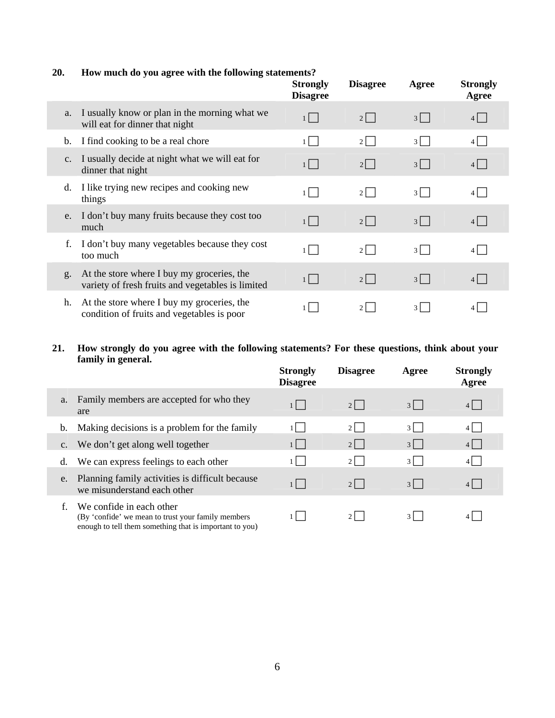#### **20. How much do you agree with the following statements?**

|               |                                                                                                 | <b>Strongly</b><br><b>Disagree</b> | <b>Disagree</b>             | Agree        | <b>Strongly</b><br>Agree |
|---------------|-------------------------------------------------------------------------------------------------|------------------------------------|-----------------------------|--------------|--------------------------|
| a.            | I usually know or plan in the morning what we<br>will eat for dinner that night                 | 1                                  | $2 \mid$                    | 3            | $4\Box$                  |
| b.            | I find cooking to be a real chore                                                               | $1 \mid$                           | $2 \mid$                    | $3 \mid$     | 4 L                      |
| $C_{\bullet}$ | I usually decide at night what we will eat for<br>dinner that night                             | $1$                                | $2$                         | $3$          | $4$                      |
| d.            | I like trying new recipes and cooking new<br>things                                             | $1 \mid$                           | $2 \mid$                    | $3 \mid$     | $4$                      |
| e.            | I don't buy many fruits because they cost too<br>much                                           | $1 \mid \cdot \mid$                | $2 \mid$                    | $3$          | 4                        |
| f.            | I don't buy many vegetables because they cost<br>too much                                       | $1 \mid$                           | $2 \mid$                    | $3 \mid$     | $4$                      |
| g.            | At the store where I buy my groceries, the<br>variety of fresh fruits and vegetables is limited | $1 \mid \cdot \mid$                | $2 \mid$                    | $3 \mid$     | $4$                      |
| h.            | At the store where I buy my groceries, the<br>condition of fruits and vegetables is poor        |                                    | $\mathcal{D}_{\mathcal{L}}$ | $\mathbf{3}$ |                          |

#### **21. How strongly do you agree with the following statements? For these questions, think about your family in general.**

|                |                                                                                                                                            | <b>Strongly</b><br><b>Disagree</b> | <b>Disagree</b> | Agree    | <b>Strongly</b><br>Agree |
|----------------|--------------------------------------------------------------------------------------------------------------------------------------------|------------------------------------|-----------------|----------|--------------------------|
| a.             | Family members are accepted for who they<br>are                                                                                            | $1$                                | $2 \mid$        | $3 \mid$ | $4$                      |
| b.             | Making decisions is a problem for the family                                                                                               |                                    | $2 \mid$        | $3 \mid$ | 4 L                      |
| $\mathbf{c}$ . | We don't get along well together                                                                                                           | $1 \mid$                           | $2 \mid$        | $3 \mid$ | $4 \mid$                 |
| d.             | We can express feelings to each other                                                                                                      |                                    | $2 \mid$        | 3 L      |                          |
| e.             | Planning family activities is difficult because<br>we misunderstand each other                                                             | $1$                                | $2 \mid$        | $3 \mid$ | $4 \mid$                 |
|                | We confide in each other<br>(By 'confide' we mean to trust your family members)<br>enough to tell them something that is important to you) |                                    | $2 \mid$        | 3 L      |                          |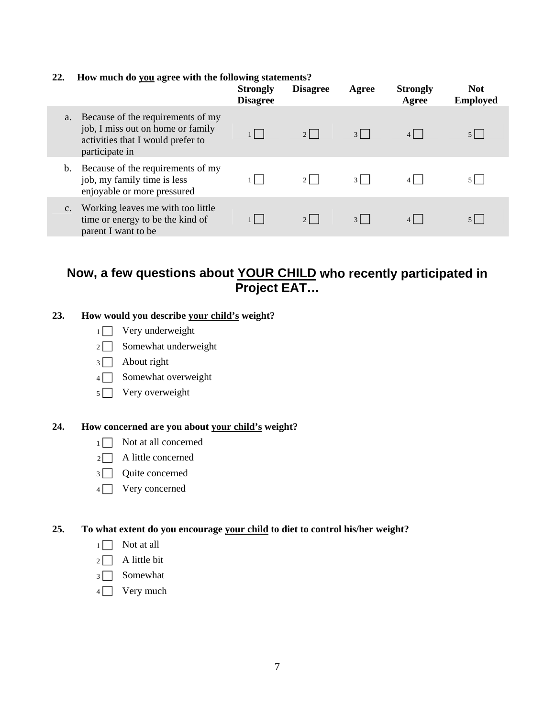#### **22. How much do you agree with the following statements?**

|    |                                                                                                                               | <b>Strongly</b><br><b>Disagree</b> | <b>Disagree</b> | Agree    | <b>Strongly</b><br>Agree | <b>Not</b><br><b>Employed</b> |
|----|-------------------------------------------------------------------------------------------------------------------------------|------------------------------------|-----------------|----------|--------------------------|-------------------------------|
| a. | Because of the requirements of my<br>job, I miss out on home or family<br>activities that I would prefer to<br>participate in |                                    | $2 \mid$        | $3 \mid$ |                          | $5 \mid$                      |
| b. | Because of the requirements of my<br>job, my family time is less<br>enjoyable or more pressured                               |                                    | $2 \mid$        | $3 \mid$ |                          |                               |
| c. | Working leaves me with too little<br>time or energy to be the kind of<br>parent I want to be                                  |                                    | $2 \mid$        | $3 \mid$ |                          |                               |

## **Now, a few questions about YOUR CHILD who recently participated in Project EAT…**

#### **23. How would you describe your child's weight?**

- $1 \Box$  Very underweight
- $2 \Box$  Somewhat underweight
- $3 \Box$  About right
- $4 \Box$  Somewhat overweight
- $5 \Box$  Very overweight

#### **24. How concerned are you about your child's weight?**

- $1 \Box$  Not at all concerned
- $2 \Box$  A little concerned
- $3 \Box$  Quite concerned
- $4 \Box$  Very concerned

#### **25. To what extent do you encourage your child to diet to control his/her weight?**

- $1 \Box$  Not at all
- $2 \Box$  A little bit
- $3 \Box$  Somewhat
- $4 \Box$  Very much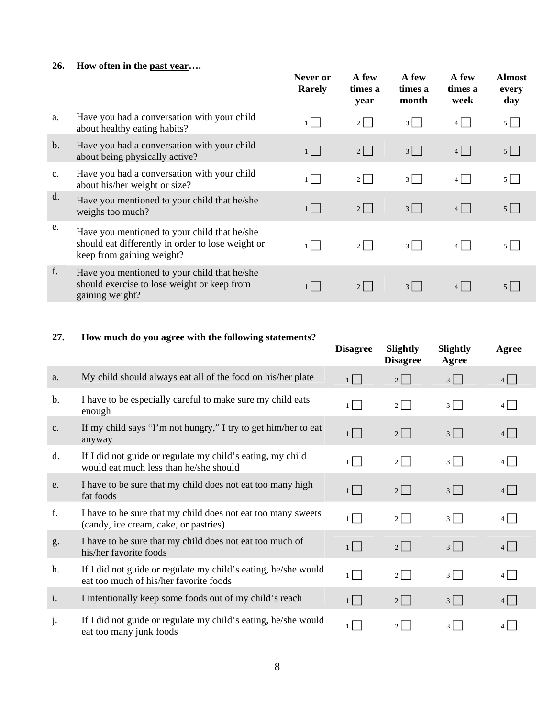### **26. How often in the past year….**

|                |                                                                                                                                | Never or<br><b>Rarely</b> | A few<br>times a<br>year | A few<br>times a<br>month | A few<br>times a<br>week | <b>Almost</b><br>every<br>day |
|----------------|--------------------------------------------------------------------------------------------------------------------------------|---------------------------|--------------------------|---------------------------|--------------------------|-------------------------------|
| a.             | Have you had a conversation with your child<br>about healthy eating habits?                                                    | $1 \mid$                  | $2 \mid$                 | $3 \mid$                  | $4\Box$                  | $5 \mid$                      |
| $\mathbf{b}$ . | Have you had a conversation with your child<br>about being physically active?                                                  | $1$                       | $2$                      | 3                         | $4\Box$                  | $5$                           |
| $C_{\bullet}$  | Have you had a conversation with your child<br>about his/her weight or size?                                                   |                           | $2$                      | $3\Box$                   | $4\Box$                  | $5 \mid$                      |
| d.             | Have you mentioned to your child that he/she<br>weighs too much?                                                               | $1 \mid$                  | $2$                      | 3                         | $4\Box$                  | $5$                           |
| e.             | Have you mentioned to your child that he/she<br>should eat differently in order to lose weight or<br>keep from gaining weight? | $1 \mid$                  | $2 \mid$                 | $3 \mid$                  | $4$                      | 5 <sub>1</sub>                |
| f.             | Have you mentioned to your child that he/she<br>should exercise to lose weight or keep from<br>gaining weight?                 |                           | $2 \mid$                 | $3$                       | $4$                      | 5 <sub>1</sub>                |

## **27. How much do you agree with the following statements?**

|               |                                                                                                          | <b>Disagree</b> | Slightly<br><b>Disagree</b> | Slightly<br>Agree | Agree   |
|---------------|----------------------------------------------------------------------------------------------------------|-----------------|-----------------------------|-------------------|---------|
| a.            | My child should always eat all of the food on his/her plate                                              | $1 \vert$       | $2\Box$                     | $3\Box$           | $4$     |
| b.            | I have to be especially careful to make sure my child eats<br>enough                                     | 1 L             | $2$                         | 3                 | $4$     |
| $C_{\bullet}$ | If my child says "I'm not hungry," I try to get him/her to eat<br>anyway                                 | $1$             | $2$                         | 3                 | $4\Box$ |
| d.            | If I did not guide or regulate my child's eating, my child<br>would eat much less than he/she should     | $1 \mid$        | $2$                         | 3                 | $4\Box$ |
| e.            | I have to be sure that my child does not eat too many high<br>fat foods                                  | $1$             | $2\Box$                     | 3                 | 4       |
| f.            | I have to be sure that my child does not eat too many sweets<br>(candy, ice cream, cake, or pastries)    | $1 \mid$        | $2$                         | $3 \mid$          | $4\Box$ |
| g.            | I have to be sure that my child does not eat too much of<br>his/her favorite foods                       | $1$             | $2 \mid$                    | $3 \mid$          | $4\Box$ |
| h.            | If I did not guide or regulate my child's eating, he/she would<br>eat too much of his/her favorite foods | $1 \mid$        | $2\Box$                     | $3 \mid$          | $4\Box$ |
| i.            | I intentionally keep some foods out of my child's reach                                                  | $1 \mid$        | $2$                         | $3 \mid$          | $4$     |
| j.            | If I did not guide or regulate my child's eating, he/she would<br>eat too many junk foods                |                 | $2 \mid$                    | $3 \mid$          | 4       |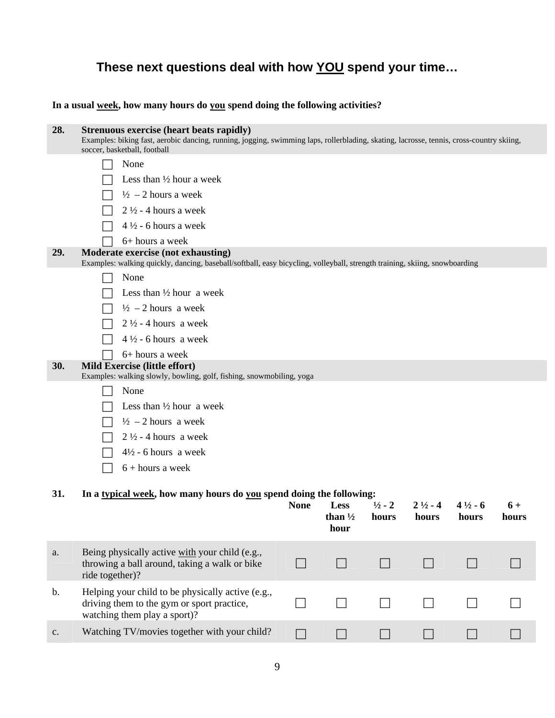# **These next questions deal with how YOU spend your time…**

**In a usual week, how many hours do you spend doing the following activities?** 

| 28.           | <b>Strenuous exercise (heart beats rapidly)</b><br>Examples: biking fast, aerobic dancing, running, jogging, swimming laps, rollerblading, skating, lacrosse, tennis, cross-country skiing,<br>soccer, basketball, football |             |                            |                   |                    |                    |       |
|---------------|-----------------------------------------------------------------------------------------------------------------------------------------------------------------------------------------------------------------------------|-------------|----------------------------|-------------------|--------------------|--------------------|-------|
|               | None                                                                                                                                                                                                                        |             |                            |                   |                    |                    |       |
|               | Less than $\frac{1}{2}$ hour a week                                                                                                                                                                                         |             |                            |                   |                    |                    |       |
|               | $\frac{1}{2}$ - 2 hours a week                                                                                                                                                                                              |             |                            |                   |                    |                    |       |
|               | $2\frac{1}{2}$ - 4 hours a week                                                                                                                                                                                             |             |                            |                   |                    |                    |       |
|               | $4\frac{1}{2}$ - 6 hours a week                                                                                                                                                                                             |             |                            |                   |                    |                    |       |
|               | 6+ hours a week                                                                                                                                                                                                             |             |                            |                   |                    |                    |       |
| 29.           | Moderate exercise (not exhausting)<br>Examples: walking quickly, dancing, baseball/softball, easy bicycling, volleyball, strength training, skiing, snowboarding                                                            |             |                            |                   |                    |                    |       |
|               | None                                                                                                                                                                                                                        |             |                            |                   |                    |                    |       |
|               | Less than $\frac{1}{2}$ hour a week                                                                                                                                                                                         |             |                            |                   |                    |                    |       |
|               | $\frac{1}{2}$ – 2 hours a week                                                                                                                                                                                              |             |                            |                   |                    |                    |       |
|               | $2\frac{1}{2}$ - 4 hours a week                                                                                                                                                                                             |             |                            |                   |                    |                    |       |
|               | $4\frac{1}{2}$ - 6 hours a week                                                                                                                                                                                             |             |                            |                   |                    |                    |       |
|               | 6+ hours a week                                                                                                                                                                                                             |             |                            |                   |                    |                    |       |
| 30.           | Mild Exercise (little effort)                                                                                                                                                                                               |             |                            |                   |                    |                    |       |
|               | Examples: walking slowly, bowling, golf, fishing, snowmobiling, yoga<br>None                                                                                                                                                |             |                            |                   |                    |                    |       |
|               | Less than $\frac{1}{2}$ hour a week                                                                                                                                                                                         |             |                            |                   |                    |                    |       |
|               | $\frac{1}{2}$ – 2 hours a week                                                                                                                                                                                              |             |                            |                   |                    |                    |       |
|               | $2\frac{1}{2}$ - 4 hours a week                                                                                                                                                                                             |             |                            |                   |                    |                    |       |
|               | $4\frac{1}{2}$ - 6 hours a week                                                                                                                                                                                             |             |                            |                   |                    |                    |       |
|               | $6 + hours$ a week                                                                                                                                                                                                          |             |                            |                   |                    |                    |       |
|               |                                                                                                                                                                                                                             |             |                            |                   |                    |                    |       |
| 31.           | In a typical week, how many hours do you spend doing the following:                                                                                                                                                         |             |                            |                   |                    |                    |       |
|               |                                                                                                                                                                                                                             | <b>None</b> | Less                       | $\frac{1}{2}$ - 2 | $2\frac{1}{2}$ - 4 | $4\frac{1}{2}$ - 6 | $6+$  |
|               |                                                                                                                                                                                                                             |             | than $\frac{1}{2}$<br>hour | hours             | hours              | hours              | hours |
|               |                                                                                                                                                                                                                             |             |                            |                   |                    |                    |       |
| a.            | Being physically active with your child (e.g.,<br>throwing a ball around, taking a walk or bike                                                                                                                             |             |                            | $\Box$            |                    |                    |       |
|               | ride together)?                                                                                                                                                                                                             |             |                            |                   |                    |                    |       |
| $\mathbf b$ . | Helping your child to be physically active (e.g.,                                                                                                                                                                           |             |                            |                   |                    |                    |       |
|               | driving them to the gym or sport practice,<br>watching them play a sport)?                                                                                                                                                  |             |                            |                   |                    |                    |       |
| c.            | Watching TV/movies together with your child?                                                                                                                                                                                |             |                            |                   |                    |                    |       |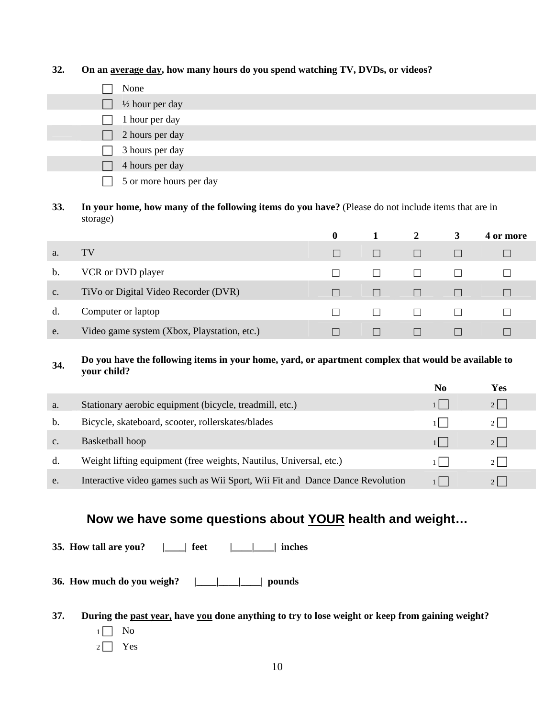#### **32. On an average day, how many hours do you spend watching TV, DVDs, or videos?**

- $\Box$  None  $\frac{1}{2}$  hour per day 1 hour per day 2 hours per day 3 hours per day 4 hours per day 5 or more hours per day
- **33. In your home, how many of the following items do you have?** (Please do not include items that are in storage)

|    |                                             | $\mathbf{0}$ |              | 2            | 3            | 4 or more |
|----|---------------------------------------------|--------------|--------------|--------------|--------------|-----------|
| a. | TV                                          |              | $\Box$       | $\Box$       |              |           |
| b. | VCR or DVD player                           |              | $\mathbf{1}$ | $\mathbf{L}$ |              |           |
| c. | TiVo or Digital Video Recorder (DVR)        |              | $\Box$       | $\Box$       | $\Box$       |           |
| d. | Computer or laptop                          |              | $\mathbf{1}$ | $\Box$       | $\mathbf{1}$ |           |
| e. | Video game system (Xbox, Playstation, etc.) |              |              |              |              |           |

#### **34. Do you have the following items in your home, yard, or apartment complex that would be available to your child?**

|                |                                                                               | No | Yes        |  |
|----------------|-------------------------------------------------------------------------------|----|------------|--|
| a.             | Stationary aerobic equipment (bicycle, treadmill, etc.)                       |    |            |  |
| b.             | Bicycle, skateboard, scooter, rollerskates/blades                             |    | $21 \quad$ |  |
| C <sub>1</sub> | Basketball hoop                                                               |    |            |  |
| d.             | Weight lifting equipment (free weights, Nautilus, Universal, etc.)            |    | $21 \quad$ |  |
| e.             | Interactive video games such as Wii Sport, Wii Fit and Dance Dance Revolution |    |            |  |

## **Now we have some questions about YOUR health and weight…**

**35. How tall are you? |\_\_\_\_| feet |\_\_\_\_|\_\_\_\_| inches** 

**36. How much do you weigh? |\_\_\_\_|\_\_\_\_|\_\_\_\_| pounds** 

- **37. During the past year, have you done anything to try to lose weight or keep from gaining weight?** 
	- $1 \Box$  No
	- $2 \Box$  Yes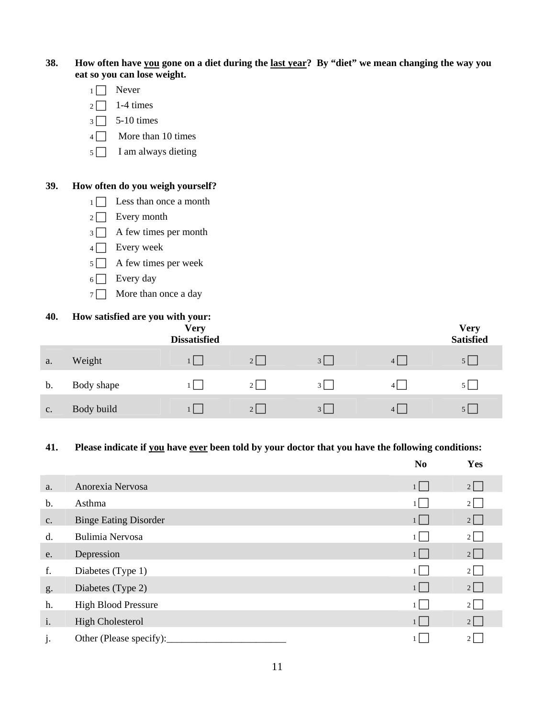**38. How often have you gone on a diet during the last year? By "diet" we mean changing the way you eat so you can lose weight.** 

- $1 \Box$  Never
- $2 \Box$  1-4 times
- $3 \square$  5-10 times
- $4 \Box$  More than 10 times
- $5 \Box$  I am always dieting

#### **39. How often do you weigh yourself?**

- $1 \n\begin{array}{|c|c|} \n\hline\n1 & \text{Less than once a month}\n\end{array}$
- $2 \Box$  Every month
- $3 \Box$  A few times per month
- $4 \Box$  Every week
- $5 \Box$  A few times per week
- $6 \Box$  Every day
- $7 \Box$  More than once a day

#### **40. How satisfied are you with your:**

|    |            | <b>Very</b><br><b>Dissatisfied</b> |                |          |                | <b>Very</b><br><b>Satisfied</b> |
|----|------------|------------------------------------|----------------|----------|----------------|---------------------------------|
| a. | Weight     | $1 \mid$                           | $2$            | $3 \mid$ | 4 <sup>1</sup> |                                 |
| b. | Body shape | 1 L                                | $2 \mid$       | $3 \mid$ | $\overline{4}$ |                                 |
| C. | Body build |                                    | 2 <sup>1</sup> | 3        | 4 <sup>1</sup> |                                 |

#### **41. Please indicate if you have ever been told by your doctor that you have the following conditions:**

|              |                              | N <sub>0</sub> | Yes      |
|--------------|------------------------------|----------------|----------|
| a.           | Anorexia Nervosa             | $1 \mid$       | 2        |
| b.           | Asthma                       |                | $2 \mid$ |
| c.           | <b>Binge Eating Disorder</b> | $1 \mid$       | $2\Box$  |
| d.           | Bulimia Nervosa              |                | $2$      |
| e.           | Depression                   | $1 \mid$       | $2\Box$  |
| f.           | Diabetes (Type 1)            |                | $2\Box$  |
| g.           | Diabetes (Type 2)            | $1 \mid$       | $2\Box$  |
| h.           | <b>High Blood Pressure</b>   |                | $2 \mid$ |
| i.           | <b>High Cholesterol</b>      | $1 \mid$       | $2\Box$  |
| $\mathbf{j}$ | Other (Please specify):      |                | $2\vert$ |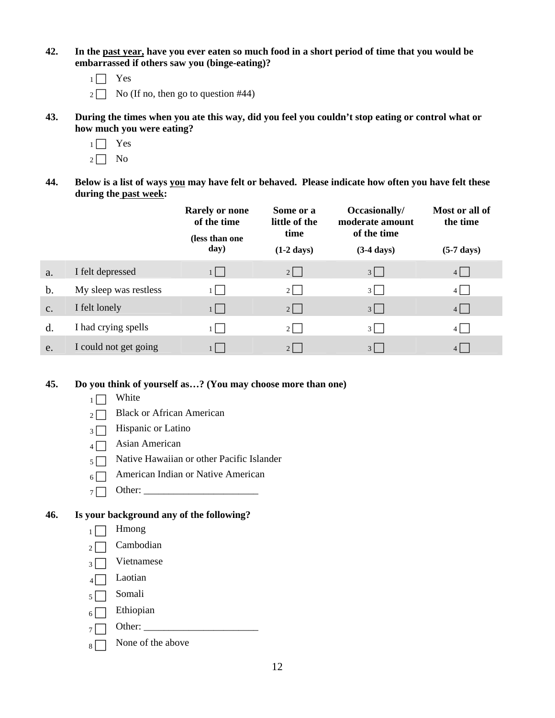- **42. In the past year, have you ever eaten so much food in a short period of time that you would be embarrassed if others saw you (binge-eating)?** 
	- $1 \Box$  Yes
	- $2 \Box$  No (If no, then go to question #44)
- **43. During the times when you ate this way, did you feel you couldn't stop eating or control what or how much you were eating?** 
	- $1 \Box$  Yes
	- $2 \Box$  No
- **44. Below is a list of ways you may have felt or behaved. Please indicate how often you have felt these during the past week:**

|           |                       | <b>Rarely or none</b><br>of the time<br>(less than one<br>day) | Some or a<br>little of the<br>time<br>$(1-2 \text{ days})$ | Occasionally/<br>moderate amount<br>of the time<br>$(3-4 \text{ days})$ | Most or all of<br>the time<br>$(5-7 \text{ days})$ |
|-----------|-----------------------|----------------------------------------------------------------|------------------------------------------------------------|-------------------------------------------------------------------------|----------------------------------------------------|
| a.        | I felt depressed      | $1 \mid$                                                       | $2 \mid$                                                   | $3 \mid$                                                                | $4$                                                |
| b.        | My sleep was restless | 1 I                                                            | $2 \mid$                                                   | $3$                                                                     | $4$                                                |
| $C_{\rm}$ | I felt lonely         | $1 \mid$                                                       | $2 \mid$                                                   | $3$                                                                     | $4$                                                |
| d.        | I had crying spells   |                                                                | 2 <sup>1</sup>                                             | $3$                                                                     | $4 \mid$                                           |
| e.        | I could not get going | n a                                                            | 2 <sup>1</sup>                                             | $3$                                                                     | $4$                                                |

#### **45. Do you think of yourself as…? (You may choose more than one)**

- $1 \Box$  White
- $_2 \Box$  Black or African American
- $\overline{\mathcal{A}}$  Hispanic or Latino
- $4 \Box$  Asian American
- $5 \Box$  Native Hawaiian or other Pacific Islander
- $6 \Box$  American Indian or Native American
- <sup>7</sup> F Other: \_\_\_\_\_\_\_\_\_\_\_\_\_\_\_\_\_\_\_\_\_\_\_

#### **46. Is your background any of the following?**

- $1 \Box$  Hmong
- $_2 \Box$  Cambodian
- $3 \Box$  Vietnamese
- $4 \Box$  Laotian
- $5 \Box$  Somali
- $6 \Box$  Ethiopian
- $7 \Box$  Other: \_
- $8 \Box$  None of the above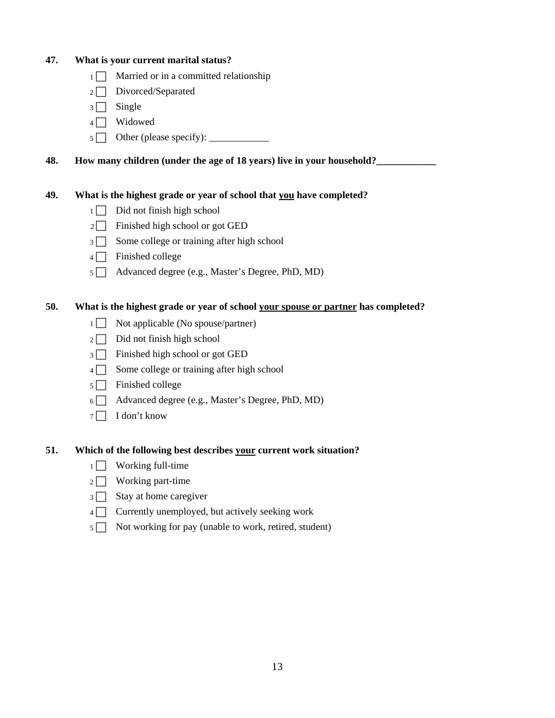| 47.                                  | What is your current marital status?          |                                                                                   |  |  |
|--------------------------------------|-----------------------------------------------|-----------------------------------------------------------------------------------|--|--|
|                                      | Married or in a committed relationship<br>1 I |                                                                                   |  |  |
| Divorced/Separated<br>2 <sup>1</sup> |                                               |                                                                                   |  |  |
|                                      | Single<br>3 <sup>1</sup>                      |                                                                                   |  |  |
|                                      | 4 I                                           | Widowed                                                                           |  |  |
|                                      | 5 <sup>1</sup>                                |                                                                                   |  |  |
| 48.                                  |                                               | How many children (under the age of 18 years) live in your household?             |  |  |
| 49.                                  |                                               | What is the highest grade or year of school that you have completed?              |  |  |
|                                      | 1 <sup>1</sup>                                | Did not finish high school                                                        |  |  |
|                                      | 2 <sup>1</sup>                                | Finished high school or got GED                                                   |  |  |
|                                      | $\overline{3}$                                | Some college or training after high school                                        |  |  |
|                                      | 4 I                                           | Finished college                                                                  |  |  |
|                                      | 5 <sup>1</sup>                                | Advanced degree (e.g., Master's Degree, PhD, MD)                                  |  |  |
| 50.                                  |                                               | What is the highest grade or year of school your spouse or partner has completed? |  |  |
|                                      | 1 <sup>1</sup>                                | Not applicable (No spouse/partner)                                                |  |  |
|                                      | 2 <sub>1</sub>                                | Did not finish high school                                                        |  |  |
|                                      | $\overline{3}$                                | Finished high school or got GED                                                   |  |  |
|                                      | 4 I                                           | Some college or training after high school                                        |  |  |
|                                      | 5 I                                           | Finished college                                                                  |  |  |
|                                      | 6 I                                           | Advanced degree (e.g., Master's Degree, PhD, MD)                                  |  |  |
|                                      | 7 <sup>1</sup>                                | I don't know                                                                      |  |  |
| 51.                                  |                                               | Which of the following best describes your current work situation?                |  |  |
|                                      | 1                                             | Working full-time                                                                 |  |  |
|                                      | 2                                             | Working part-time                                                                 |  |  |
|                                      | 3                                             | Stay at home caregiver                                                            |  |  |
|                                      | $\overline{4}$                                | Currently unemployed, but actively seeking work                                   |  |  |
|                                      | 5 <sup>1</sup>                                | Not working for pay (unable to work, retired, student)                            |  |  |
|                                      |                                               |                                                                                   |  |  |